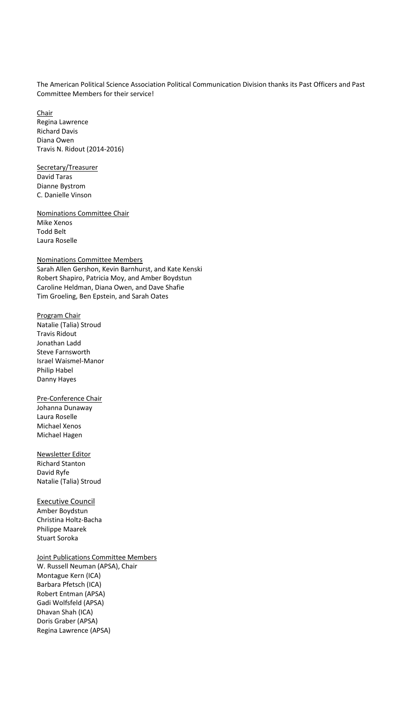The American Political Science Association Political Communication Division thanks its Past Officers and Past Committee Members for their service!

Chair Regina Lawrence Richard Davis Diana Owen Travis N. Ridout (2014-2016)

Secretary/Treasurer David Taras Dianne Bystrom C. Danielle Vinson

Nominations Committee Chair Mike Xenos Todd Belt Laura Roselle

Nominations Committee Members Sarah Allen Gershon, Kevin Barnhurst, and Kate Kenski Robert Shapiro, Patricia Moy, and Amber Boydstun Caroline Heldman, Diana Owen, and Dave Shafie Tim Groeling, Ben Epstein, and Sarah Oates

## Program Chair

Natalie (Talia) Stroud Travis Ridout Jonathan Ladd Steve Farnsworth Israel Waismel-Manor Philip Habel Danny Hayes

Pre-Conference Chair Johanna Dunaway Laura Roselle Michael Xenos Michael Hagen

Newsletter Editor Richard Stanton David Ryfe Natalie (Talia) Stroud

## Executive Council

Amber Boydstun Christina Holtz-Bacha Philippe Maarek Stuart Soroka

## Joint Publications Committee Members

W. Russell Neuman (APSA), Chair Montague Kern (ICA) Barbara Pfetsch (ICA) Robert Entman (APSA) Gadi Wolfsfeld (APSA) Dhavan Shah (ICA) Doris Graber (APSA) Regina Lawrence (APSA)